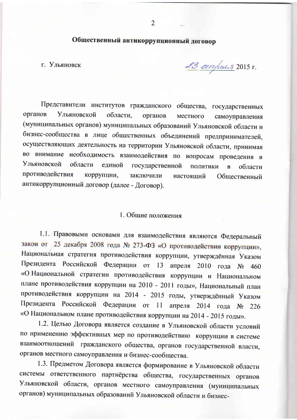Общественный антикоррупционный договор

г. Ульяновск

23 anyles 2015 r.

Представители институтов гражданского общества, государственных органов Ульяновской области, органов местного самоуправления (муниципальных органов) муниципальных образований Ульяновской области и бизнес-сообщества в лице общественных объединений предпринимателей, осуществляющих деятельность на территории Ульяновской области, принимая во внимание необходимость взаимодействия по вопросам проведения в **Ульяновской** области единой государственной политики  $\overline{B}$ области. противодействия коррупции, заключили настоящий Общественный антикоррупционный договор (далее - Договор).

## 1. Общие положения

1.1. Правовыми основами для взаимодействия являются Федеральный закон от 25 декабря 2008 года № 273-ФЗ «О противодействии коррупции», Национальная стратегия противодействия коррупции, утверждённая Указом Президента Российской Федерации от 13 апреля 2010 года № 460 «О Национальной стратегии противодействия коррупции и Национальном плане противодействия коррупции на 2010 - 2011 годы», Национальный план противодействия коррупции на 2014 - 2015 годы, утверждённый Указом Президента Российской Федерации от 11 апреля 2014 года № 226 «О Национальном плане противодействия коррупции на 2014 - 2015 годы».

1.2. Целью Договора является создание в Ульяновской области условий по применению эффективных мер по противодействию коррупции в системе взаимоотношений гражданского общества, органов государственной власти, органов местного самоуправления и бизнес-сообщества.

1.3. Предметом Договора является формирование в Ульяновской области системы ответственного партнёрства общества, государственных органов Ульяновской области, органов местного самоуправления (муниципальных органов) муниципальных образований Ульяновской области и бизнес-

 $\overline{2}$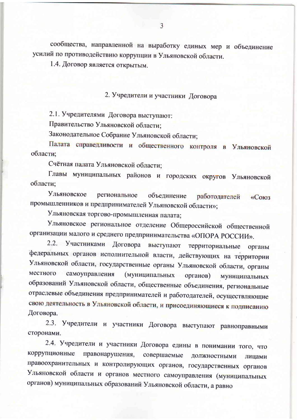сообщества, направленной на выработку единых мер и объединение усилий по противодействию коррупции в Ульяновской области.

1.4. Договор является открытым.

## 2. Учредители и участники Договора

2.1. Учредителями Договора выступают:

Правительство Ульяновской области;

Законодательное Собрание Ульяновской области;

Палата справедливости и общественного контроля в Ульяновской области:

Счётная палата Ульяновской области;

Главы муниципальных районов и городских округов Ульяновской области:

Ульяновское региональное объединение работодателей «Союз промышленников и предпринимателей Ульяновской области»;

Ульяновская торгово-промышленная палата;

Ульяновское региональное отделение Общероссийской общественной организации малого и среднего предпринимательства «ОПОРА РОССИИ».

2.2. Участниками Договора выступают территориальные органы федеральных органов исполнительной власти, действующих на территории Ульяновской области, государственные органы Ульяновской области, органы местного самоуправления (муниципальных органов) муниципальных образований Ульяновской области, общественные объединения, региональные отраслевые объединения предпринимателей и работодателей, осуществляющие свою деятельность в Ульяновской области, и присоединяющиеся к подписанию Договора.

2.3. Учредители и участники Договора выступают равноправными сторонами.

2.4. Учредители и участники Договора едины в понимании того, что коррупционные правонарушения, совершаемые должностными лицами правоохранительных и контролирующих органов, государственных органов Ульяновской области и органов местного самоуправления (муниципальных органов) муниципальных образований Ульяновской области, а равно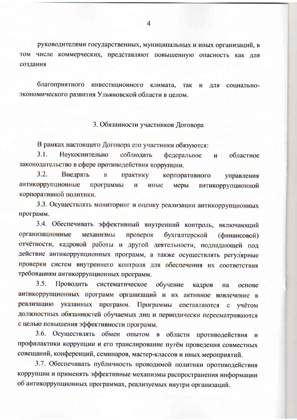руководителями государственных, муниципальных и иных организаций, в том числе коммерческих, представляют повышенную опасность как для создания

благоприятного инвестиционного климата, так  $\overline{M}$ ПЛЯ социальноэкономического развития Ульяновской области в целом.

3. Обязанности участников Договора

В рамках настоящего Договора его участники обязуются:

 $3.1.$ Неукоснительно соблюдать федеральное  $\mathbf{H}$ областное законодательство в сфере противодействия коррупции.

 $3.2.$ Внедрять  $\bf{B}$ практику корпоративного управления антикоррупционные программы  $\mathbf{M}$ иные меры антикоррупционной корпоративной политики.

3.3. Осуществлять мониторинг и оценку реализации антикоррупционных программ.

3.4. Обеспечивать эффективный внутренний контроль, включающий организационные механизмы проверок бухгалтерской (финансовой) отчётности, кадровой работы и другой деятельности, подпадающей под действие антикоррупционных программ, а также осуществлять регулярные проверки систем внутреннего контроля для обеспечения их соответствия требованиям антикоррупционных программ.

 $3.5.$ Проводить систематическое обучение кадров на основе антикоррупционных программ организаций и их активное вовлечение в реализацию указанных программ. Программы составляются с учётом должностных обязанностей обучаемых лиц и периодически пересматриваются с целью повышения эффективности программ.

3.6. Осуществлять обмен опытом в области противодействия  $\mathbf{M}$ профилактики коррупции и его транслирование путём проведения совместных совещаний, конференций, семинаров, мастер-классов и иных мероприятий.

3.7. Обеспечивать публичность проводимой политики противодействия коррупции и применять эффективные механизмы распространения информации об антикоррупционных программах, реализуемых внутри организаций.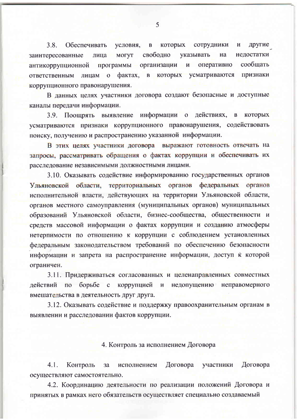другие  $3.8.$ Обеспечивать условия,  $\overline{B}$ которых сотрудники  $\mathbf{M}$ свободно нелостатки МОГУТ указывать на заинтересованные лица сообщать программы организации  $\mathbf{H}$ оперативно антикоррупционной которых усматриваются признаки лицам о фактах, в **ОТВЕТСТВЕННЫМ** коррупционного правонарушения.

В данных целях участники договора создают безопасные и доступные каналы передачи информации.

3.9. Поощрять выявление информации о действиях,  $\mathbf{B}$ которых усматриваются признаки коррупционного правонарушения, содействовать поиску, получению и распространению указанной информации.

В этих целях участники договора выражают готовность отвечать на запросы, рассматривать обращения о фактах коррупции и обеспечивать их расследование независимыми должностными лицами.

3.10. Оказывать содействие информированию государственных органов Ульяновской области, территориальных органов федеральных органов исполнительной власти, действующих на территории Ульяновской области, органов местного самоуправления (муниципальных органов) муниципальных образований Ульяновской области, бизнес-сообщества, общественности и средств массовой информации о фактах коррупции и созданию атмосферы нетерпимости по отношению к коррупции с соблюдением установленных федеральным законодательством требований по обеспечению безопасности информации и запрета на распространение информации, доступ к которой ограничен.

3.11. Придерживаться согласованных и целенаправленных совместных борьбе коррупцией и недопущению неправомерного действий по  $\mathbf{c}$ вмешательства в деятельность друг друга.

3.12. Оказывать содействие и поддержку правоохранительным органам в выявлении и расследовании фактов коррупции.

4. Контроль за исполнением Договора

Договора  $4.1.$ Контроль исполнением Договора участники  $3a$ осуществляют самостоятельно.

4.2. Координацию деятельности по реализации положений Договора и принятых в рамках него обязательств осуществляет специально создаваемый

5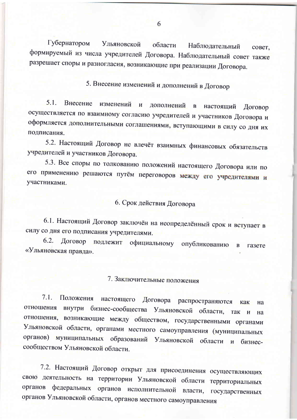Губернатором Ульяновской области Наблюдательный совет. формируемый из числа учредителей Договора. Наблюдательный совет также разрешает споры и разногласия, возникающие при реализации Договора.

5. Внесение изменений и дополнений в Договор

 $5.1.$ Внесение изменений и дополнений  $\mathbf{B}$ настоящий Договор осуществляется по взаимному согласию учредителей и участников Договора и оформляется дополнительными соглашениями, вступающими в силу со дня их подписания.

5.2. Настоящий Договор не влечёт взаимных финансовых обязательств учредителей и участников Договора.

5.3. Все споры по толкованию положений настоящего Договора или по его применению решаются путём переговоров между его учредителями и участниками.

## 6. Срок действия Договора

6.1. Настоящий Договор заключён на неопределённый срок и вступает в силу со дня его подписания учредителями.

6.2. Договор подлежит официальному опубликованию  $\bf{B}$ газете «Ульяновская правда».

7. Заключительные положения

 $7.1.$ Положения настоящего Договора распространяются как Ha отношения внутри бизнес-сообщества Ульяновской области, так  $\mathbf{H}$ Ha отношения, возникающие между обществом, государственными органами Ульяновской области, органами местного самоуправления (муниципальных органов) муниципальных образований Ульяновской области и бизнессообществом Ульяновской области.

7.2. Настоящий Договор открыт для присоединения осуществляющих свою деятельность на территории Ульяновской области территориальных органов федеральных органов исполнительной власти, государственных органов Ульяновской области, органов местного самоуправления